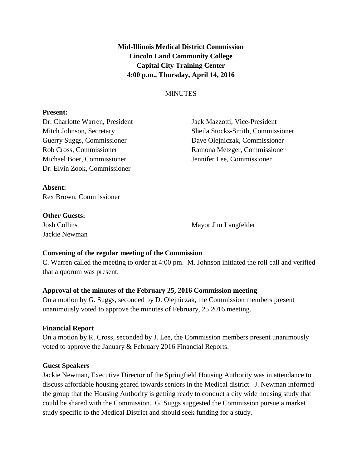**Mid-Illinois Medical District Commission Lincoln Land Community College Capital City Training Center 4:00 p.m., Thursday, April 14, 2016**

## **MINUTES**

#### **Present:**

Michael Boer, Commissioner Jennifer Lee, Commissioner Dr. Elvin Zook, Commissioner

Dr. Charlotte Warren, President Jack Mazzotti, Vice-President Mitch Johnson, Secretary Sheila Stocks-Smith, Commissioner Guerry Suggs, Commissioner Dave Olejniczak, Commissioner Rob Cross, Commissioner Ramona Metzger, Commissioner

**Absent:** Rex Brown, Commissioner

#### **Other Guests:**

Jackie Newman

Josh Collins Mayor Jim Langfelder

### **Convening of the regular meeting of the Commission**

C. Warren called the meeting to order at 4:00 pm. M. Johnson initiated the roll call and verified that a quorum was present.

### **Approval of the minutes of the February 25, 2016 Commission meeting**

On a motion by G. Suggs, seconded by D. Olejniczak, the Commission members present unanimously voted to approve the minutes of February, 25 2016 meeting.

### **Financial Report**

On a motion by R. Cross, seconded by J. Lee, the Commission members present unanimously voted to approve the January & February 2016 Financial Reports.

### **Guest Speakers**

Jackie Newman, Executive Director of the Springfield Housing Authority was in attendance to discuss affordable housing geared towards seniors in the Medical district. J. Newman informed the group that the Housing Authority is getting ready to conduct a city wide housing study that could be shared with the Commission. G. Suggs suggested the Commission pursue a market study specific to the Medical District and should seek funding for a study.